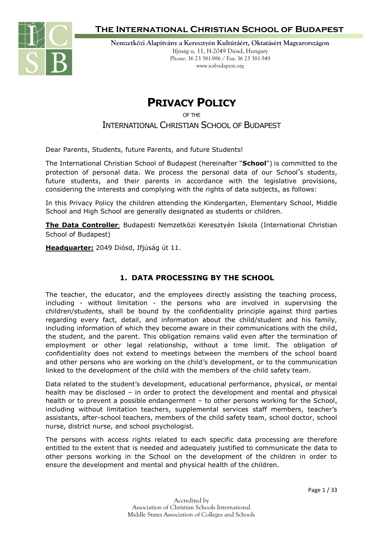

**Nemzetközi Alapítvány a Keresztyén Kultúráért, Oktatásért Magyarországon** Ifjúság u. 11, H-2049 Diósd, Hungary Phone: 36 23 381-986 / Fax: 36 23 381-549 www.icsbudapest.org

# **PRIVACY POLICY**

OF THE

INTERNATIONAL CHRISTIAN SCHOOL OF BUDAPEST

Dear Parents, Students, future Parents, and future Students!

The International Christian School of Budapest (hereinafter "**School**") is committed to the protection of personal data. We process the personal data of our School's students, future students, and their parents in accordance with the legislative provisions, considering the interests and complying with the rights of data subjects, as follows:

In this Privacy Policy the children attending the Kindergarten, Elementary School, Middle School and High School are generally designated as students or children.

**The Data Controller**: Budapesti Nemzetközi Keresztyén Iskola (International Christian School of Budapest)

**Headquarter:** 2049 Diósd, Ifjúság út 11.

### **1. DATA PROCESSING BY THE SCHOOL**

The teacher, the educator, and the employees directly assisting the teaching process, including - without limitation - the persons who are involved in supervising the children/students, shall be bound by the confidentiality principle against third parties regarding every fact, detail, and information about the child/student and his family, including information of which they become aware in their communications with the child, the student, and the parent. This obligation remains valid even after the termination of employment or other legal relationship, without a time limit. The obligation of confidentiality does not extend to meetings between the members of the school board and other persons who are working on the child's development, or to the communication linked to the development of the child with the members of the child safety team.

Data related to the student's development, educational performance, physical, or mental health may be disclosed – in order to protect the development and mental and physical health or to prevent a possible endangerment – to other persons working for the School, including without limitation teachers, supplemental services staff members, teacher's assistants, after-school teachers, members of the child safety team, school doctor, school nurse, district nurse, and school psychologist.

The persons with access rights related to each specific data processing are therefore entitled to the extent that is needed and adequately justified to communicate the data to other persons working in the School on the development of the children in order to ensure the development and mental and physical health of the children.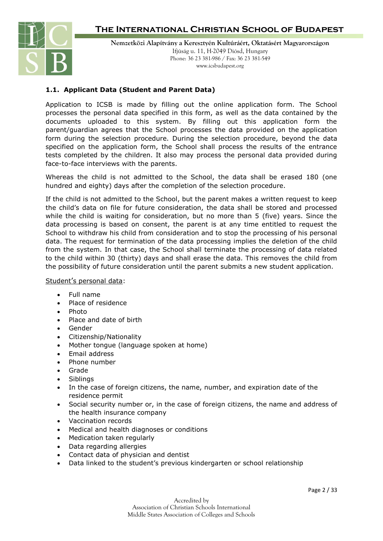

**Nemzetközi Alapítvány a Keresztyén Kultúráért, Oktatásért Magyarországon** Ifjúság u. 11, H-2049 Diósd, Hungary Phone: 36 23 381-986 / Fax: 36 23 381-549 www.icsbudapest.org

### **1.1. Applicant Data (Student and Parent Data)**

Application to ICSB is made by filling out the online application form. The School processes the personal data specified in this form, as well as the data contained by the documents uploaded to this system. By filling out this application form the parent/guardian agrees that the School processes the data provided on the application form during the selection procedure. During the selection procedure, beyond the data specified on the application form, the School shall process the results of the entrance tests completed by the children. It also may process the personal data provided during face-to-face interviews with the parents.

Whereas the child is not admitted to the School, the data shall be erased 180 (one hundred and eighty) days after the completion of the selection procedure.

If the child is not admitted to the School, but the parent makes a written request to keep the child's data on file for future consideration, the data shall be stored and processed while the child is waiting for consideration, but no more than 5 (five) years. Since the data processing is based on consent, the parent is at any time entitled to request the School to withdraw his child from consideration and to stop the processing of his personal data. The request for termination of the data processing implies the deletion of the child from the system. In that case, the School shall terminate the processing of data related to the child within 30 (thirty) days and shall erase the data. This removes the child from the possibility of future consideration until the parent submits a new student application.

Student's personal data:

- Full name
- Place of residence
- Photo
- Place and date of birth
- Gender
- Citizenship/Nationality
- Mother tongue (language spoken at home)
- Email address
- Phone number
- Grade
- Siblings
- In the case of foreign citizens, the name, number, and expiration date of the residence permit
- Social security number or, in the case of foreign citizens, the name and address of the health insurance company
- Vaccination records
- Medical and health diagnoses or conditions
- Medication taken regularly
- Data regarding allergies
- Contact data of physician and dentist
- Data linked to the student's previous kindergarten or school relationship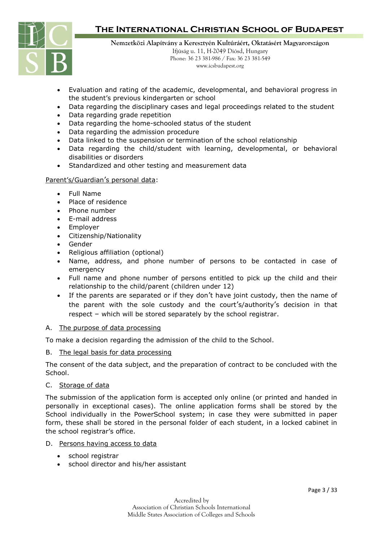

**Nemzetközi Alapítvány a Keresztyén Kultúráért, Oktatásért Magyarországon**

Ifjúság u. 11, H-2049 Diósd, Hungary Phone: 36 23 381-986 / Fax: 36 23 381-549 www.icsbudapest.org

- Evaluation and rating of the academic, developmental, and behavioral progress in the student's previous kindergarten or school
- Data regarding the disciplinary cases and legal proceedings related to the student
- Data regarding grade repetition
- Data regarding the home-schooled status of the student
- Data regarding the admission procedure
- Data linked to the suspension or termination of the school relationship
- Data regarding the child/student with learning, developmental, or behavioral disabilities or disorders
- Standardized and other testing and measurement data

#### Parent's/Guardian's personal data:

- Full Name
- Place of residence
- Phone number
- E-mail address
- Employer
- Citizenship/Nationality
- Gender
- Religious affiliation (optional)
- Name, address, and phone number of persons to be contacted in case of emergency
- Full name and phone number of persons entitled to pick up the child and their relationship to the child/parent (children under 12)
- If the parents are separated or if they don't have joint custody, then the name of the parent with the sole custody and the court's/authority's decision in that respect – which will be stored separately by the school registrar.

#### A. The purpose of data processing

To make a decision regarding the admission of the child to the School.

#### B. The legal basis for data processing

The consent of the data subject, and the preparation of contract to be concluded with the School.

#### C. Storage of data

The submission of the application form is accepted only online (or printed and handed in personally in exceptional cases). The online application forms shall be stored by the School individually in the PowerSchool system; in case they were submitted in paper form, these shall be stored in the personal folder of each student, in a locked cabinet in the school registrar's office.

#### D. Persons having access to data

- school registrar
- school director and his/her assistant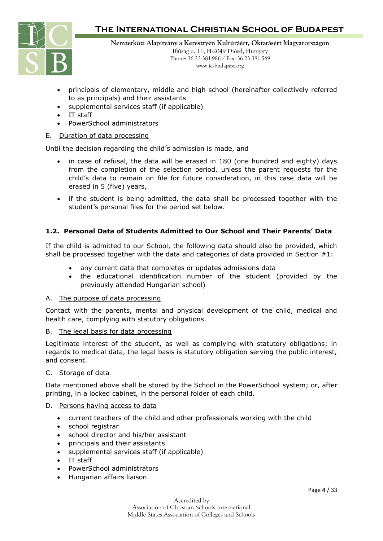

**Nemzetközi Alapítvány a Keresztyén Kultúráért, Oktatásért Magyarországon** Ifjúság u. 11, H-2049 Diósd, Hungary Phone: 36 23 381-986 / Fax: 36 23 381-549

www.icsbudapest.org

- principals of elementary, middle and high school (hereinafter collectively referred to as principals) and their assistants
- supplemental services staff (if applicable)
- IT staff
- PowerSchool administrators

#### E. Duration of data processing

Until the decision regarding the child's admission is made, and

- in case of refusal, the data will be erased in 180 (one hundred and eighty) days from the completion of the selection period, unless the parent requests for the child's data to remain on file for future consideration, in this case data will be erased in 5 (five) years,
- if the student is being admitted, the data shall be processed together with the student's personal files for the period set below.

### **1.2. Personal Data of Students Admitted to Our School and Their Parents' Data**

If the child is admitted to our School, the following data should also be provided, which shall be processed together with the data and categories of data provided in Section  $#1$ :

- any current data that completes or updates admissions data
- the educational identification number of the student (provided by the previously attended Hungarian school)

#### A. The purpose of data processing

Contact with the parents, mental and physical development of the child, medical and health care, complying with statutory obligations.

#### B. The legal basis for data processing

Legitimate interest of the student, as well as complying with statutory obligations; in regards to medical data, the legal basis is statutory obligation serving the public interest, and consent.

#### C. Storage of data

Data mentioned above shall be stored by the School in the PowerSchool system; or, after printing, in a locked cabinet, in the personal folder of each child.

#### D. Persons having access to data

- current teachers of the child and other professionals working with the child
- school registrar
- school director and his/her assistant
- principals and their assistants
- supplemental services staff (if applicable)
- IT staff
- PowerSchool administrators
- Hungarian affairs liaison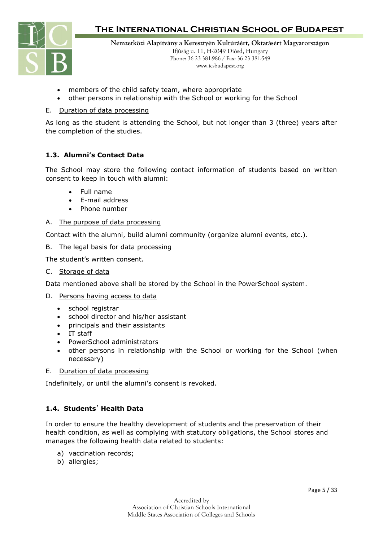

**Nemzetközi Alapítvány a Keresztyén Kultúráért, Oktatásért Magyarországon** Ifjúság u. 11, H-2049 Diósd, Hungary Phone: 36 23 381-986 / Fax: 36 23 381-549

www.icsbudapest.org

- members of the child safety team, where appropriate
- other persons in relationship with the School or working for the School

#### E. Duration of data processing

As long as the student is attending the School, but not longer than 3 (three) years after the completion of the studies.

### **1.3. Alumni's Contact Data**

The School may store the following contact information of students based on written consent to keep in touch with alumni:

- Full name
- E-mail address
- Phone number

#### A. The purpose of data processing

Contact with the alumni, build alumni community (organize alumni events, etc.).

#### B. The legal basis for data processing

The student's written consent.

C. Storage of data

Data mentioned above shall be stored by the School in the PowerSchool system.

- D. Persons having access to data
	- school registrar
	- school director and his/her assistant
	- principals and their assistants
	- IT staff
	- PowerSchool administrators
	- other persons in relationship with the School or working for the School (when necessary)
- E. Duration of data processing

Indefinitely, or until the alumni's consent is revoked.

#### **1.4. Students**' **Health Data**

In order to ensure the healthy development of students and the preservation of their health condition, as well as complying with statutory obligations, the School stores and manages the following health data related to students:

- a) vaccination records;
- b) allergies;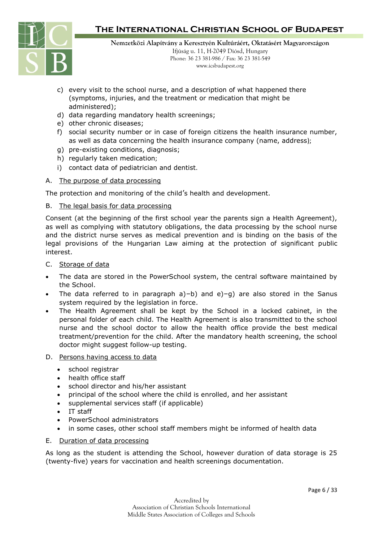

**Nemzetközi Alapítvány a Keresztyén Kultúráért, Oktatásért Magyarországon** Ifjúság u. 11, H-2049 Diósd, Hungary

Phone: 36 23 381-986 / Fax: 36 23 381-549 www.icsbudapest.org

- c) every visit to the school nurse, and a description of what happened there (symptoms, injuries, and the treatment or medication that might be administered);
- d) data regarding mandatory health screenings;
- e) other chronic diseases;
- f) social security number or in case of foreign citizens the health insurance number, as well as data concerning the health insurance company (name, address);
- g) pre-existing conditions, diagnosis;
- h) regularly taken medication;
- i) contact data of pediatrician and dentist.

#### A. The purpose of data processing

The protection and monitoring of the child's health and development.

#### B. The legal basis for data processing

Consent (at the beginning of the first school year the parents sign a Health Agreement), as well as complying with statutory obligations, the data processing by the school nurse and the district nurse serves as medical prevention and is binding on the basis of the legal provisions of the Hungarian Law aiming at the protection of significant public interest.

- C. Storage of data
- The data are stored in the PowerSchool system, the central software maintained by the School.
- The data referred to in paragraph  $a$ )–b) and  $e$ )–g) are also stored in the Sanus system required by the legislation in force.
- The Health Agreement shall be kept by the School in a locked cabinet, in the personal folder of each child. The Health Agreement is also transmitted to the school nurse and the school doctor to allow the health office provide the best medical treatment/prevention for the child. After the mandatory health screening, the school doctor might suggest follow-up testing.
- D. Persons having access to data
	- school registrar
	- health office staff
	- school director and his/her assistant
	- principal of the school where the child is enrolled, and her assistant
	- supplemental services staff (if applicable)
	- IT staff
	- PowerSchool administrators
	- in some cases, other school staff members might be informed of health data

#### E. Duration of data processing

As long as the student is attending the School, however duration of data storage is 25 (twenty-five) years for vaccination and health screenings documentation.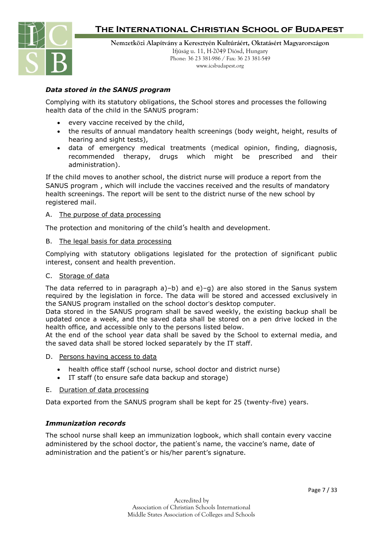

### *Data stored in the SANUS program*

Complying with its statutory obligations, the School stores and processes the following health data of the child in the SANUS program:

- every vaccine received by the child,
- the results of annual mandatory health screenings (body weight, height, results of hearing and sight tests),
- data of emergency medical treatments (medical opinion, finding, diagnosis, recommended therapy, drugs which might be prescribed and their administration).

If the child moves to another school, the district nurse will produce a report from the SANUS program , which will include the vaccines received and the results of mandatory health screenings. The report will be sent to the district nurse of the new school by registered mail.

#### A. The purpose of data processing

The protection and monitoring of the child's health and development.

#### B. The legal basis for data processing

Complying with statutory obligations legislated for the protection of significant public interest, consent and health prevention.

#### C. Storage of data

The data referred to in paragraph  $a$ )–b) and  $e$ )–g) are also stored in the Sanus system required by the legislation in force. The data will be stored and accessed exclusively in the SANUS program installed on the school doctor's desktop computer.

Data stored in the SANUS program shall be saved weekly, the existing backup shall be updated once a week, and the saved data shall be stored on a pen drive locked in the health office, and accessible only to the persons listed below.

At the end of the school year data shall be saved by the School to external media, and the saved data shall be stored locked separately by the IT staff.

- D. Persons having access to data
	- health office staff (school nurse, school doctor and district nurse)
	- IT staff (to ensure safe data backup and storage)

#### E. Duration of data processing

Data exported from the SANUS program shall be kept for 25 (twenty-five) years.

#### *Immunization records*

The school nurse shall keep an immunization logbook, which shall contain every vaccine administered by the school doctor, the patient's name, the vaccine's name, date of administration and the patient's or his/her parent's signature.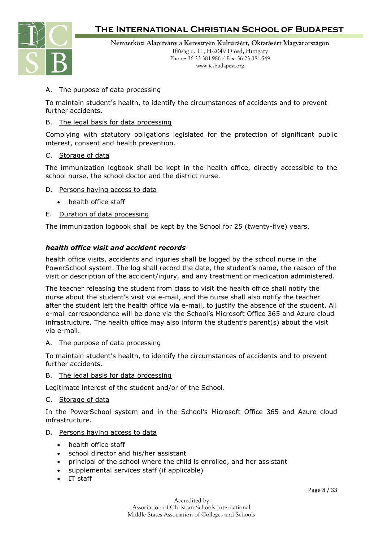

**Nemzetközi Alapítvány a Keresztyén Kultúráért, Oktatásért Magyarországon** Ifjúság u. 11, H-2049 Diósd, Hungary Phone: 36 23 381-986 / Fax: 36 23 381-549 www.icsbudapest.org

#### A. The purpose of data processing

To maintain student's health, to identify the circumstances of accidents and to prevent further accidents.

#### B. The legal basis for data processing

Complying with statutory obligations legislated for the protection of significant public interest, consent and health prevention.

#### C. Storage of data

The immunization logbook shall be kept in the health office, directly accessible to the school nurse, the school doctor and the district nurse.

- D. Persons having access to data
	- health office staff
- E. Duration of data processing

The immunization logbook shall be kept by the School for 25 (twenty-five) years.

#### *health office visit and accident records*

health office visits, accidents and injuries shall be logged by the school nurse in the PowerSchool system. The log shall record the date, the student's name, the reason of the visit or description of the accident/injury, and any treatment or medication administered.

The teacher releasing the student from class to visit the health office shall notify the nurse about the student's visit via e-mail, and the nurse shall also notify the teacher after the student left the health office via e-mail, to justify the absence of the student. All e-mail correspondence will be done via the School's Microsoft Office 365 and Azure cloud infrastructure. The health office may also inform the student's parent(s) about the visit via e-mail.

#### A. The purpose of data processing

To maintain student's health, to identify the circumstances of accidents and to prevent further accidents.

#### B. The legal basis for data processing

Legitimate interest of the student and/or of the School.

#### C. Storage of data

In the PowerSchool system and in the School's Microsoft Office 365 and Azure cloud infrastructure.

#### D. Persons having access to data

- health office staff
- school director and his/her assistant
- principal of the school where the child is enrolled, and her assistant
- supplemental services staff (if applicable)
- IT staff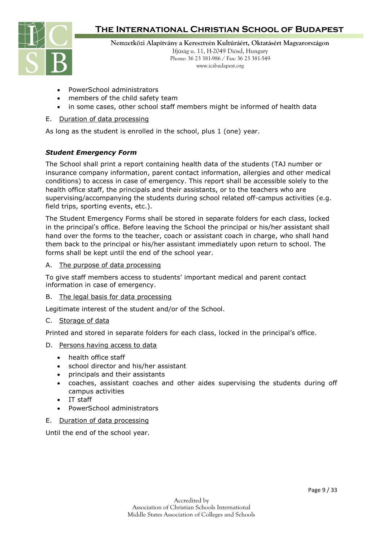

**Nemzetközi Alapítvány a Keresztyén Kultúráért, Oktatásért Magyarországon**

Ifjúság u. 11, H-2049 Diósd, Hungary Phone: 36 23 381-986 / Fax: 36 23 381-549 www.icsbudapest.org

- PowerSchool administrators
- members of the child safety team
- in some cases, other school staff members might be informed of health data

#### E. Duration of data processing

As long as the student is enrolled in the school, plus 1 (one) year.

#### *Student Emergency Form*

The School shall print a report containing health data of the students (TAJ number or insurance company information, parent contact information, allergies and other medical conditions) to access in case of emergency. This report shall be accessible solely to the health office staff, the principals and their assistants, or to the teachers who are supervising/accompanying the students during school related off-campus activities (e.g. field trips, sporting events, etc.).

The Student Emergency Forms shall be stored in separate folders for each class, locked in the principal's office. Before leaving the School the principal or his/her assistant shall hand over the forms to the teacher, coach or assistant coach in charge, who shall hand them back to the principal or his/her assistant immediately upon return to school. The forms shall be kept until the end of the school year.

#### A. The purpose of data processing

To give staff members access to students' important medical and parent contact information in case of emergency.

#### B. The legal basis for data processing

Legitimate interest of the student and/or of the School.

#### C. Storage of data

Printed and stored in separate folders for each class, locked in the principal's office.

#### D. Persons having access to data

- health office staff
- school director and his/her assistant
- principals and their assistants
- coaches, assistant coaches and other aides supervising the students during off campus activities
- IT staff
- PowerSchool administrators

#### E. Duration of data processing

Until the end of the school year.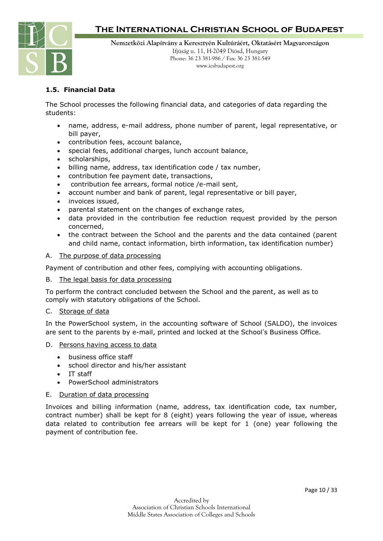

**Nemzetközi Alapítvány a Keresztyén Kultúráért, Oktatásért Magyarországon** Ifjúság u. 11, H-2049 Diósd, Hungary

Phone: 36 23 381-986 / Fax: 36 23 381-549 www.icsbudapest.org

### **1.5. Financial Data**

The School processes the following financial data, and categories of data regarding the students:

- name, address, e-mail address, phone number of parent, legal representative, or bill payer,
- contribution fees, account balance,
- special fees, additional charges, lunch account balance,
- scholarships,
- billing name, address, tax identification code / tax number,
- contribution fee payment date, transactions,
- contribution fee arrears, formal notice /e-mail sent,
- account number and bank of parent, legal representative or bill payer,
- invoices issued,
- parental statement on the changes of exchange rates,
- data provided in the contribution fee reduction request provided by the person concerned,
- the contract between the School and the parents and the data contained (parent and child name, contact information, birth information, tax identification number)
- A. The purpose of data processing

Payment of contribution and other fees, complying with accounting obligations.

B. The legal basis for data processing

To perform the contract concluded between the School and the parent, as well as to comply with statutory obligations of the School.

#### C. Storage of data

In the PowerSchool system, in the accounting software of School (SALDO), the invoices are sent to the parents by e-mail, printed and locked at the School's Business Office.

- D. Persons having access to data
	- business office staff
	- school director and his/her assistant
	- IT staff
	- PowerSchool administrators
- E. Duration of data processing

Invoices and billing information (name, address, tax identification code, tax number, contract number) shall be kept for 8 (eight) years following the year of issue, whereas data related to contribution fee arrears will be kept for 1 (one) year following the payment of contribution fee.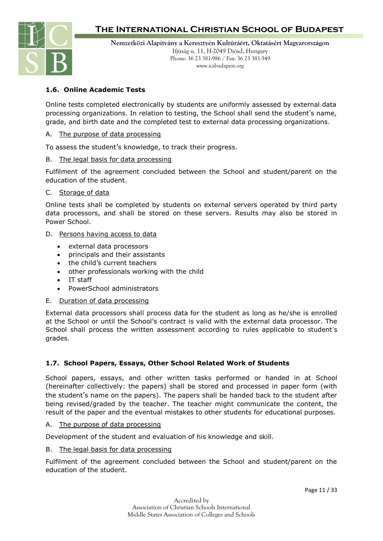

**Nemzetközi Alapítvány a Keresztyén Kultúráért, Oktatásért Magyarországon** Ifjúság u. 11, H-2049 Diósd, Hungary Phone: 36 23 381-986 / Fax: 36 23 381-549 www.icsbudapest.org

### **1.6. Online Academic Tests**

Online tests completed electronically by students are uniformly assessed by external data processing organizations. In relation to testing, the School shall send the student's name, grade, and birth date and the completed test to external data processing organizations.

#### A. The purpose of data processing

To assess the student's knowledge, to track their progress.

B. The legal basis for data processing

Fulfilment of the agreement concluded between the School and student/parent on the education of the student.

C. Storage of data

Online tests shall be completed by students on external servers operated by third party data processors, and shall be stored on these servers. Results may also be stored in Power School.

- D. Persons having access to data
	- external data processors
	- principals and their assistants
	- the child's current teachers
	- other professionals working with the child
	- IT staff
	- PowerSchool administrators
- E. Duration of data processing

External data processors shall process data for the student as long as he/she is enrolled at the School or until the School's contract is valid with the external data processor. The School shall process the written assessment according to rules applicable to student's grades.

#### **1.7. School Papers, Essays, Other School Related Work of Students**

School papers, essays, and other written tasks performed or handed in at School (hereinafter collectively: the papers) shall be stored and processed in paper form (with the student's name on the papers). The papers shall be handed back to the student after being revised/graded by the teacher. The teacher might communicate the content, the result of the paper and the eventual mistakes to other students for educational purposes.

#### A. The purpose of data processing

Development of the student and evaluation of his knowledge and skill.

B. The legal basis for data processing

Fulfilment of the agreement concluded between the School and student/parent on the education of the student.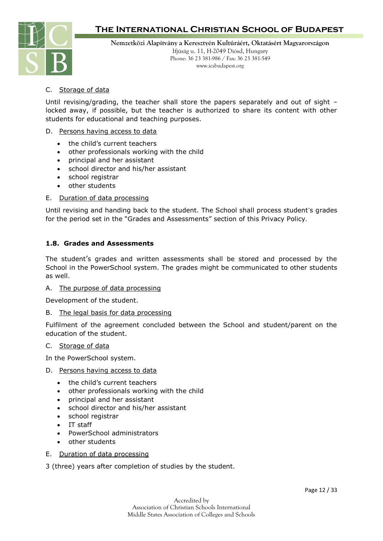

**Nemzetközi Alapítvány a Keresztyén Kultúráért, Oktatásért Magyarországon** Ifjúság u. 11, H-2049 Diósd, Hungary Phone: 36 23 381-986 / Fax: 36 23 381-549 www.icsbudapest.org

### C. Storage of data

Until revising/grading, the teacher shall store the papers separately and out of sight – locked away, if possible, but the teacher is authorized to share its content with other students for educational and teaching purposes.

#### D. Persons having access to data

- the child's current teachers
- other professionals working with the child
- principal and her assistant
- school director and his/her assistant
- school registrar
- other students

#### E. Duration of data processing

Until revising and handing back to the student. The School shall process student's grades for the period set in the "Grades and Assessments" section of this Privacy Policy.

#### **1.8. Grades and Assessments**

The student's grades and written assessments shall be stored and processed by the School in the PowerSchool system. The grades might be communicated to other students as well.

#### A. The purpose of data processing

Development of the student.

#### B. The legal basis for data processing

Fulfilment of the agreement concluded between the School and student/parent on the education of the student.

#### C. Storage of data

In the PowerSchool system.

- D. Persons having access to data
	- the child's current teachers
	- other professionals working with the child
	- principal and her assistant
	- school director and his/her assistant
	- school registrar
	- IT staff
	- PowerSchool administrators
	- other students

#### E. Duration of data processing

3 (three) years after completion of studies by the student.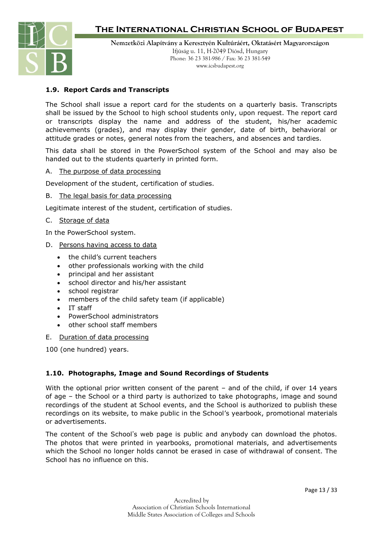

**Nemzetközi Alapítvány a Keresztyén Kultúráért, Oktatásért Magyarországon** Ifjúság u. 11, H-2049 Diósd, Hungary Phone: 36 23 381-986 / Fax: 36 23 381-549 www.icsbudapest.org

#### **1.9. Report Cards and Transcripts**

The School shall issue a report card for the students on a quarterly basis. Transcripts shall be issued by the School to high school students only, upon request. The report card or transcripts display the name and address of the student, his/her academic achievements (grades), and may display their gender, date of birth, behavioral or attitude grades or notes, general notes from the teachers, and absences and tardies.

This data shall be stored in the PowerSchool system of the School and may also be handed out to the students quarterly in printed form.

#### A. The purpose of data processing

Development of the student, certification of studies.

#### B. The legal basis for data processing

Legitimate interest of the student, certification of studies.

#### C. Storage of data

In the PowerSchool system.

- D. Persons having access to data
	- the child's current teachers
	- other professionals working with the child
	- principal and her assistant
	- school director and his/her assistant
	- school registrar
	- members of the child safety team (if applicable)
	- IT staff
	- PowerSchool administrators
	- other school staff members

#### E. Duration of data processing

100 (one hundred) years.

#### **1.10. Photographs, Image and Sound Recordings of Students**

With the optional prior written consent of the parent – and of the child, if over 14 years of age – the School or a third party is authorized to take photographs, image and sound recordings of the student at School events, and the School is authorized to publish these recordings on its website, to make public in the School's yearbook, promotional materials or advertisements.

The content of the School's web page is public and anybody can download the photos. The photos that were printed in yearbooks, promotional materials, and advertisements which the School no longer holds cannot be erased in case of withdrawal of consent. The School has no influence on this.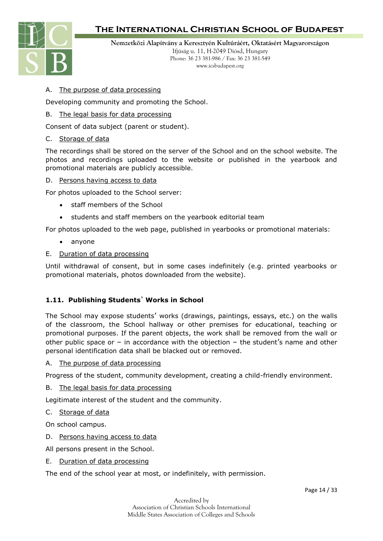

**Nemzetközi Alapítvány a Keresztyén Kultúráért, Oktatásért Magyarországon**

Ifjúság u. 11, H-2049 Diósd, Hungary Phone: 36 23 381-986 / Fax: 36 23 381-549 www.icsbudapest.org

#### A. The purpose of data processing

Developing community and promoting the School.

#### B. The legal basis for data processing

Consent of data subject (parent or student).

#### C. Storage of data

The recordings shall be stored on the server of the School and on the school website. The photos and recordings uploaded to the website or published in the yearbook and promotional materials are publicly accessible.

#### D. Persons having access to data

For photos uploaded to the School server:

- staff members of the School
- students and staff members on the yearbook editorial team

For photos uploaded to the web page, published in yearbooks or promotional materials:

- anyone
- E. Duration of data processing

Until withdrawal of consent, but in some cases indefinitely (e.g. printed yearbooks or promotional materials, photos downloaded from the website).

#### **1.11. Publishing Students**' **Works in School**

The School may expose students' works (drawings, paintings, essays, etc.) on the walls of the classroom, the School hallway or other premises for educational, teaching or promotional purposes. If the parent objects, the work shall be removed from the wall or other public space or  $-$  in accordance with the objection  $-$  the student's name and other personal identification data shall be blacked out or removed.

#### A. The purpose of data processing

Progress of the student, community development, creating a child-friendly environment.

B. The legal basis for data processing

Legitimate interest of the student and the community.

C. Storage of data

On school campus.

- D. Persons having access to data
- All persons present in the School.
- E. Duration of data processing

The end of the school year at most, or indefinitely, with permission.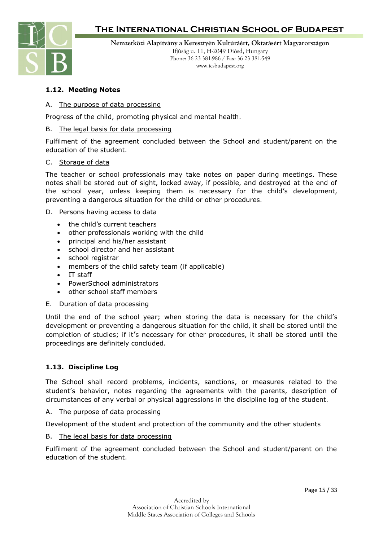

**Nemzetközi Alapítvány a Keresztyén Kultúráért, Oktatásért Magyarországon** Ifjúság u. 11, H-2049 Diósd, Hungary Phone: 36 23 381-986 / Fax: 36 23 381-549 www.icsbudapest.org

### **1.12. Meeting Notes**

#### A. The purpose of data processing

Progress of the child, promoting physical and mental health.

#### B. The legal basis for data processing

Fulfilment of the agreement concluded between the School and student/parent on the education of the student.

#### C. Storage of data

The teacher or school professionals may take notes on paper during meetings. These notes shall be stored out of sight, locked away, if possible, and destroyed at the end of the school year, unless keeping them is necessary for the child's development, preventing a dangerous situation for the child or other procedures.

#### D. Persons having access to data

- the child's current teachers
- other professionals working with the child
- principal and his/her assistant
- school director and her assistant
- school registrar
- members of the child safety team (if applicable)
- IT staff
- PowerSchool administrators
- other school staff members
- E. Duration of data processing

Until the end of the school year; when storing the data is necessary for the child's development or preventing a dangerous situation for the child, it shall be stored until the completion of studies; if it's necessary for other procedures, it shall be stored until the proceedings are definitely concluded.

#### **1.13. Discipline Log**

The School shall record problems, incidents, sanctions, or measures related to the student's behavior, notes regarding the agreements with the parents, description of circumstances of any verbal or physical aggressions in the discipline log of the student.

A. The purpose of data processing

Development of the student and protection of the community and the other students

B. The legal basis for data processing

Fulfilment of the agreement concluded between the School and student/parent on the education of the student.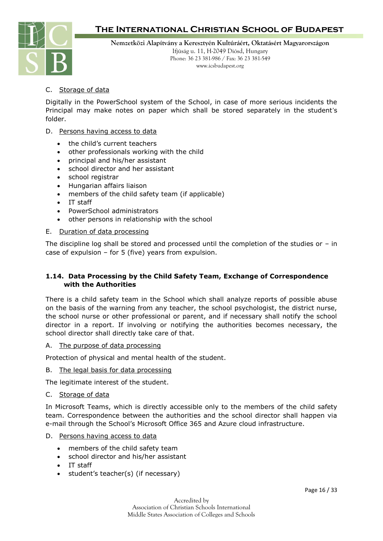

**Nemzetközi Alapítvány a Keresztyén Kultúráért, Oktatásért Magyarországon** Ifjúság u. 11, H-2049 Diósd, Hungary Phone: 36 23 381-986 / Fax: 36 23 381-549 www.icsbudapest.org

### C. Storage of data

Digitally in the PowerSchool system of the School, in case of more serious incidents the Principal may make notes on paper which shall be stored separately in the student's folder.

#### D. Persons having access to data

- the child's current teachers
- other professionals working with the child
- principal and his/her assistant
- school director and her assistant
- school registrar
- Hungarian affairs liaison
- members of the child safety team (if applicable)
- IT staff
- PowerSchool administrators
- other persons in relationship with the school

#### E. Duration of data processing

The discipline log shall be stored and processed until the completion of the studies or – in case of expulsion  $-$  for 5 (five) years from expulsion.

#### **1.14. Data Processing by the Child Safety Team, Exchange of Correspondence with the Authorities**

There is a child safety team in the School which shall analyze reports of possible abuse on the basis of the warning from any teacher, the school psychologist, the district nurse, the school nurse or other professional or parent, and if necessary shall notify the school director in a report. If involving or notifying the authorities becomes necessary, the school director shall directly take care of that.

#### A. The purpose of data processing

Protection of physical and mental health of the student.

#### B. The legal basis for data processing

The legitimate interest of the student.

#### C. Storage of data

In Microsoft Teams, which is directly accessible only to the members of the child safety team. Correspondence between the authorities and the school director shall happen via e-mail through the School's Microsoft Office 365 and Azure cloud infrastructure.

#### D. Persons having access to data

- members of the child safety team
- school director and his/her assistant
- IT staff
- student's teacher(s) (if necessary)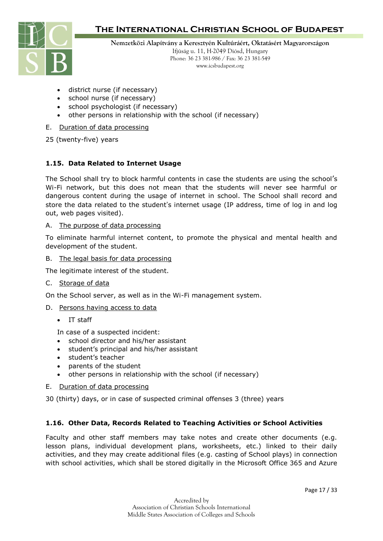

**Nemzetközi Alapítvány a Keresztyén Kultúráért, Oktatásért Magyarországon**

Ifjúság u. 11, H-2049 Diósd, Hungary Phone: 36 23 381-986 / Fax: 36 23 381-549 www.icsbudapest.org

- district nurse (if necessary)
- school nurse (if necessary)
- school psychologist (if necessary)
- other persons in relationship with the school (if necessary)

#### E. Duration of data processing

25 (twenty-five) years

### **1.15. Data Related to Internet Usage**

The School shall try to block harmful contents in case the students are using the school's Wi-Fi network, but this does not mean that the students will never see harmful or dangerous content during the usage of internet in school. The School shall record and store the data related to the student's internet usage (IP address, time of log in and log out, web pages visited).

#### A. The purpose of data processing

To eliminate harmful internet content, to promote the physical and mental health and development of the student.

#### B. The legal basis for data processing

The legitimate interest of the student.

#### C. Storage of data

On the School server, as well as in the Wi-Fi management system.

#### D. Persons having access to data

• IT staff

In case of a suspected incident:

- school director and his/her assistant
- student's principal and his/her assistant
- student's teacher
- parents of the student
- other persons in relationship with the school (if necessary)

#### E. Duration of data processing

30 (thirty) days, or in case of suspected criminal offenses 3 (three) years

#### **1.16. Other Data, Records Related to Teaching Activities or School Activities**

Faculty and other staff members may take notes and create other documents (e.g. lesson plans, individual development plans, worksheets, etc.) linked to their daily activities, and they may create additional files (e.g. casting of School plays) in connection with school activities, which shall be stored digitally in the Microsoft Office 365 and Azure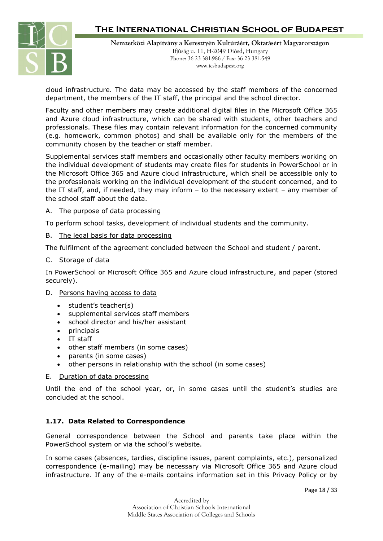

**Nemzetközi Alapítvány a Keresztyén Kultúráért, Oktatásért Magyarországon** Ifjúság u. 11, H-2049 Diósd, Hungary Phone: 36 23 381-986 / Fax: 36 23 381-549 www.icsbudapest.org

cloud infrastructure. The data may be accessed by the staff members of the concerned department, the members of the IT staff, the principal and the school director.

Faculty and other members may create additional digital files in the Microsoft Office 365 and Azure cloud infrastructure, which can be shared with students, other teachers and professionals. These files may contain relevant information for the concerned community (e.g. homework, common photos) and shall be available only for the members of the community chosen by the teacher or staff member.

Supplemental services staff members and occasionally other faculty members working on the individual development of students may create files for students in PowerSchool or in the Microsoft Office 365 and Azure cloud infrastructure, which shall be accessible only to the professionals working on the individual development of the student concerned, and to the IT staff, and, if needed, they may inform – to the necessary extent – any member of the school staff about the data.

#### A. The purpose of data processing

To perform school tasks, development of individual students and the community.

#### B. The legal basis for data processing

The fulfilment of the agreement concluded between the School and student / parent.

#### C. Storage of data

In PowerSchool or Microsoft Office 365 and Azure cloud infrastructure, and paper (stored securely).

#### D. Persons having access to data

- student's teacher(s)
- supplemental services staff members
- school director and his/her assistant
- principals
- IT staff
- other staff members (in some cases)
- parents (in some cases)
- other persons in relationship with the school (in some cases)

#### E. Duration of data processing

Until the end of the school year, or, in some cases until the student's studies are concluded at the school.

#### **1.17. Data Related to Correspondence**

General correspondence between the School and parents take place within the PowerSchool system or via the school's website.

In some cases (absences, tardies, discipline issues, parent complaints, etc.), personalized correspondence (e-mailing) may be necessary via Microsoft Office 365 and Azure cloud infrastructure. If any of the e-mails contains information set in this Privacy Policy or by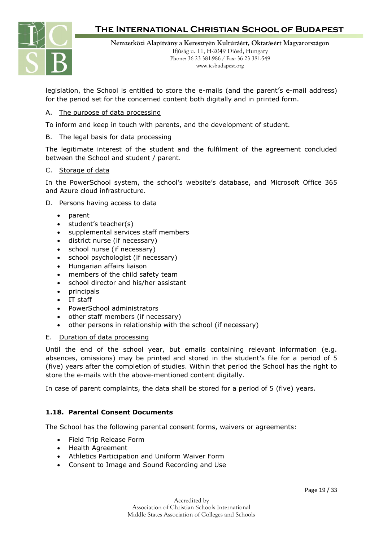

**Nemzetközi Alapítvány a Keresztyén Kultúráért, Oktatásért Magyarországon** Ifjúság u. 11, H-2049 Diósd, Hungary Phone: 36 23 381-986 / Fax: 36 23 381-549 www.icsbudapest.org

legislation, the School is entitled to store the e-mails (and the parent's e-mail address) for the period set for the concerned content both digitally and in printed form.

#### A. The purpose of data processing

To inform and keep in touch with parents, and the development of student.

#### B. The legal basis for data processing

The legitimate interest of the student and the fulfilment of the agreement concluded between the School and student / parent.

#### C. Storage of data

In the PowerSchool system, the school's website's database, and Microsoft Office 365 and Azure cloud infrastructure.

#### D. Persons having access to data

- parent
- student's teacher(s)
- supplemental services staff members
- district nurse (if necessary)
- school nurse (if necessary)
- school psychologist (if necessary)
- Hungarian affairs liaison
- members of the child safety team
- school director and his/her assistant
- principals
- IT staff
- PowerSchool administrators
- other staff members (if necessary)
- other persons in relationship with the school (if necessary)

#### E. Duration of data processing

Until the end of the school year, but emails containing relevant information (e.g. absences, omissions) may be printed and stored in the student's file for a period of 5 (five) years after the completion of studies. Within that period the School has the right to store the e-mails with the above-mentioned content digitally.

In case of parent complaints, the data shall be stored for a period of 5 (five) years.

#### **1.18. Parental Consent Documents**

The School has the following parental consent forms, waivers or agreements:

- Field Trip Release Form
- Health Agreement
- Athletics Participation and Uniform Waiver Form
- Consent to Image and Sound Recording and Use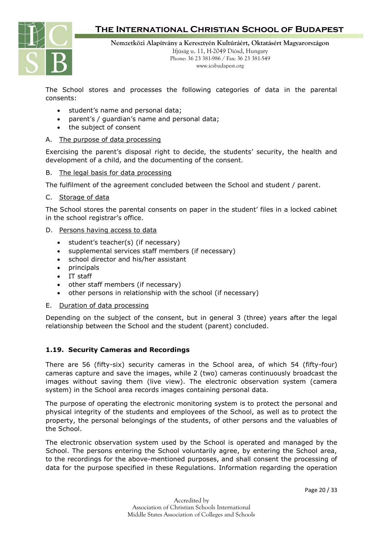

**Nemzetközi Alapítvány a Keresztyén Kultúráért, Oktatásért Magyarországon** Ifjúság u. 11, H-2049 Diósd, Hungary Phone: 36 23 381-986 / Fax: 36 23 381-549 www.icsbudapest.org

The School stores and processes the following categories of data in the parental consents:

- student's name and personal data;
- parent's / guardian's name and personal data;
- the subject of consent

#### A. The purpose of data processing

Exercising the parent's disposal right to decide, the students' security, the health and development of a child, and the documenting of the consent.

#### B. The legal basis for data processing

The fulfilment of the agreement concluded between the School and student / parent.

#### C. Storage of data

The School stores the parental consents on paper in the student' files in a locked cabinet in the school registrar's office.

#### D. Persons having access to data

- student's teacher(s) (if necessary)
- supplemental services staff members (if necessary)
- school director and his/her assistant
- principals
- IT staff
- other staff members (if necessary)
- other persons in relationship with the school (if necessary)

#### E. Duration of data processing

Depending on the subject of the consent, but in general 3 (three) years after the legal relationship between the School and the student (parent) concluded.

#### **1.19. Security Cameras and Recordings**

There are 56 (fifty-six) security cameras in the School area, of which 54 (fifty-four) cameras capture and save the images, while 2 (two) cameras continuously broadcast the images without saving them (live view). The electronic observation system (camera system) in the School area records images containing personal data.

The purpose of operating the electronic monitoring system is to protect the personal and physical integrity of the students and employees of the School, as well as to protect the property, the personal belongings of the students, of other persons and the valuables of the School.

The electronic observation system used by the School is operated and managed by the School. The persons entering the School voluntarily agree, by entering the School area, to the recordings for the above-mentioned purposes, and shall consent the processing of data for the purpose specified in these Regulations. Information regarding the operation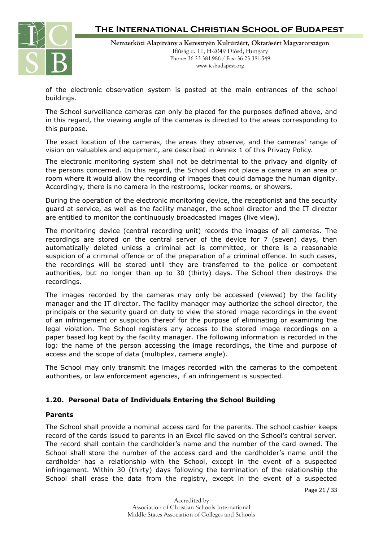

**Nemzetközi Alapítvány a Keresztyén Kultúráért, Oktatásért Magyarországon** Ifjúság u. 11, H-2049 Diósd, Hungary Phone: 36 23 381-986 / Fax: 36 23 381-549 www.icsbudapest.org

of the electronic observation system is posted at the main entrances of the school buildings.

The School surveillance cameras can only be placed for the purposes defined above, and in this regard, the viewing angle of the cameras is directed to the areas corresponding to this purpose.

The exact location of the cameras, the areas they observe, and the cameras' range of vision on valuables and equipment, are described in Annex 1 of this Privacy Policy.

The electronic monitoring system shall not be detrimental to the privacy and dignity of the persons concerned. In this regard, the School does not place a camera in an area or room where it would allow the recording of images that could damage the human dignity. Accordingly, there is no camera in the restrooms, locker rooms, or showers.

During the operation of the electronic monitoring device, the receptionist and the security guard at service, as well as the facility manager, the school director and the IT director are entitled to monitor the continuously broadcasted images (live view).

The monitoring device (central recording unit) records the images of all cameras. The recordings are stored on the central server of the device for 7 (seven) days, then automatically deleted unless a criminal act is committed, or there is a reasonable suspicion of a criminal offence or of the preparation of a criminal offence. In such cases, the recordings will be stored until they are transferred to the police or competent authorities, but no longer than up to 30 (thirty) days. The School then destroys the recordings.

The images recorded by the cameras may only be accessed (viewed) by the facility manager and the IT director. The facility manager may authorize the school director, the principals or the security guard on duty to view the stored image recordings in the event of an infringement or suspicion thereof for the purpose of eliminating or examining the legal violation. The School registers any access to the stored image recordings on a paper based log kept by the facility manager. The following information is recorded in the log: the name of the person accessing the image recordings, the time and purpose of access and the scope of data (multiplex, camera angle).

The School may only transmit the images recorded with the cameras to the competent authorities, or law enforcement agencies, if an infringement is suspected.

#### **1.20. Personal Data of Individuals Entering the School Building**

#### **Parents**

The School shall provide a nominal access card for the parents. The school cashier keeps record of the cards issued to parents in an Excel file saved on the School's central server. The record shall contain the cardholder's name and the number of the card owned. The School shall store the number of the access card and the cardholder's name until the cardholder has a relationship with the School, except in the event of a suspected infringement. Within 30 (thirty) days following the termination of the relationship the School shall erase the data from the registry, except in the event of a suspected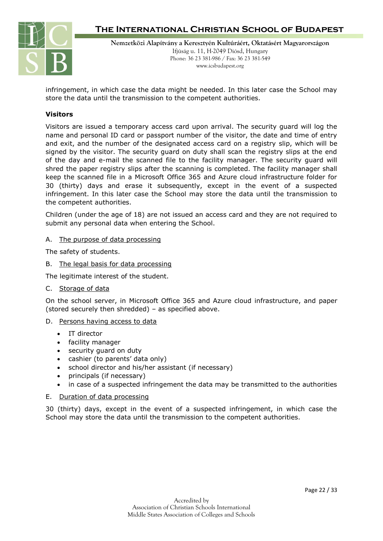

**Nemzetközi Alapítvány a Keresztyén Kultúráért, Oktatásért Magyarországon** Ifjúság u. 11, H-2049 Diósd, Hungary Phone: 36 23 381-986 / Fax: 36 23 381-549 www.icsbudapest.org

infringement, in which case the data might be needed. In this later case the School may store the data until the transmission to the competent authorities.

#### **Visitors**

Visitors are issued a temporary access card upon arrival. The security guard will log the name and personal ID card or passport number of the visitor, the date and time of entry and exit, and the number of the designated access card on a registry slip, which will be signed by the visitor. The security guard on duty shall scan the registry slips at the end of the day and e-mail the scanned file to the facility manager. The security guard will shred the paper registry slips after the scanning is completed. The facility manager shall keep the scanned file in a Microsoft Office 365 and Azure cloud infrastructure folder for 30 (thirty) days and erase it subsequently, except in the event of a suspected infringement. In this later case the School may store the data until the transmission to the competent authorities.

Children (under the age of 18) are not issued an access card and they are not required to submit any personal data when entering the School.

#### A. The purpose of data processing

The safety of students.

B. The legal basis for data processing

The legitimate interest of the student.

C. Storage of data

On the school server, in Microsoft Office 365 and Azure cloud infrastructure, and paper (stored securely then shredded) – as specified above.

#### D. Persons having access to data

- IT director
- facility manager
- security guard on duty
- cashier (to parents' data only)
- school director and his/her assistant (if necessary)
- principals (if necessary)
- in case of a suspected infringement the data may be transmitted to the authorities
- E. Duration of data processing

30 (thirty) days, except in the event of a suspected infringement, in which case the School may store the data until the transmission to the competent authorities.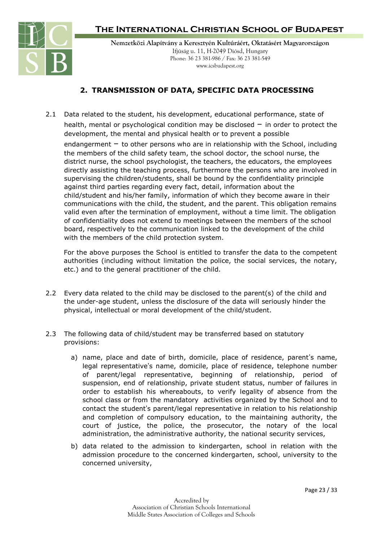

**Nemzetközi Alapítvány a Keresztyén Kultúráért, Oktatásért Magyarországon** Ifjúság u. 11, H-2049 Diósd, Hungary Phone: 36 23 381-986 / Fax: 36 23 381-549 www.icsbudapest.org

### **2. TRANSMISSION OF DATA, SPECIFIC DATA PROCESSING**

2.1 Data related to the student, his development, educational performance, state of health, mental or psychological condition may be disclosed  $-$  in order to protect the development, the mental and physical health or to prevent a possible endangerment  $-$  to other persons who are in relationship with the School, including the members of the child safety team, the school doctor, the school nurse, the district nurse, the school psychologist, the teachers, the educators, the employees directly assisting the teaching process, furthermore the persons who are involved in supervising the children/students, shall be bound by the confidentiality principle against third parties regarding every fact, detail, information about the child/student and his/her family, information of which they become aware in their communications with the child, the student, and the parent. This obligation remains valid even after the termination of employment, without a time limit. The obligation of confidentiality does not extend to meetings between the members of the school board, respectively to the communication linked to the development of the child with the members of the child protection system.

For the above purposes the School is entitled to transfer the data to the competent authorities (including without limitation the police, the social services, the notary, etc.) and to the general practitioner of the child.

- 2.2 Every data related to the child may be disclosed to the parent(s) of the child and the under-age student, unless the disclosure of the data will seriously hinder the physical, intellectual or moral development of the child/student.
- 2.3 The following data of child/student may be transferred based on statutory provisions:
	- a) name, place and date of birth, domicile, place of residence, parent's name, legal representative's name, domicile, place of residence, telephone number of parent/legal representative, beginning of relationship, period of suspension, end of relationship, private student status, number of failures in order to establish his whereabouts, to verify legality of absence from the school class or from the mandatory activities organized by the School and to contact the student's parent/legal representative in relation to his relationship and completion of compulsory education, to the maintaining authority, the court of justice, the police, the prosecutor, the notary of the local administration, the administrative authority, the national security services,
	- b) data related to the admission to kindergarten, school in relation with the admission procedure to the concerned kindergarten, school, university to the concerned university,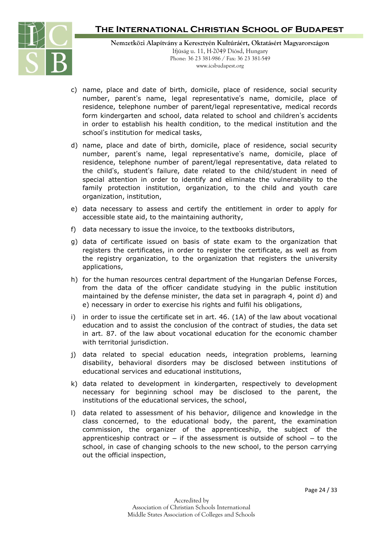

**Nemzetközi Alapítvány a Keresztyén Kultúráért, Oktatásért Magyarországon** Ifjúság u. 11, H-2049 Diósd, Hungary Phone: 36 23 381-986 / Fax: 36 23 381-549 www.icsbudapest.org

- c) name, place and date of birth, domicile, place of residence, social security number, parent's name, legal representative's name, domicile, place of residence, telephone number of parent/legal representative, medical records form kindergarten and school, data related to school and children's accidents in order to establish his health condition, to the medical institution and the school's institution for medical tasks,
- d) name, place and date of birth, domicile, place of residence, social security number, parent's name, legal representative's name, domicile, place of residence, telephone number of parent/legal representative, data related to the child's, student's failure, date related to the child/student in need of special attention in order to identify and eliminate the vulnerability to the family protection institution, organization, to the child and youth care organization, institution,
- e) data necessary to assess and certify the entitlement in order to apply for accessible state aid, to the maintaining authority,
- f) data necessary to issue the invoice, to the textbooks distributors,
- g) data of certificate issued on basis of state exam to the organization that registers the certificates, in order to register the certificate, as well as from the registry organization, to the organization that registers the university applications,
- h) for the human resources central department of the Hungarian Defense Forces, from the data of the officer candidate studying in the public institution maintained by the defense minister, the data set in paragraph 4, point d) and e) necessary in order to exercise his rights and fulfil his obligations,
- i) in order to issue the certificate set in art. 46. (1A) of the law about vocational education and to assist the conclusion of the contract of studies, the data set in art. 87. of the law about vocational education for the economic chamber with territorial jurisdiction.
- j) data related to special education needs, integration problems, learning disability, behavioral disorders may be disclosed between institutions of educational services and educational institutions,
- k) data related to development in kindergarten, respectively to development necessary for beginning school may be disclosed to the parent, the institutions of the educational services, the school,
- l) data related to assessment of his behavior, diligence and knowledge in the class concerned, to the educational body, the parent, the examination commission, the organizer of the apprenticeship, the subject of the apprenticeship contract or  $-$  if the assessment is outside of school  $-$  to the school, in case of changing schools to the new school, to the person carrying out the official inspection,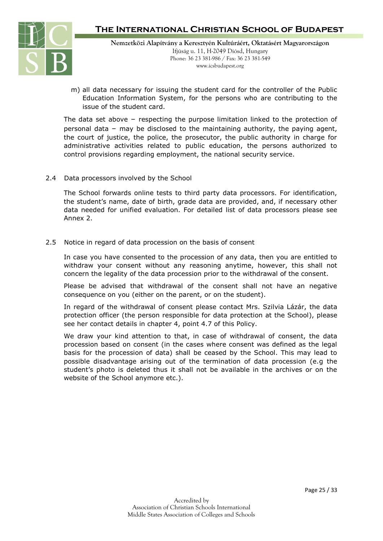

m) all data necessary for issuing the student card for the controller of the Public Education Information System, for the persons who are contributing to the issue of the student card.

The data set above – respecting the purpose limitation linked to the protection of personal data – may be disclosed to the maintaining authority, the paying agent, the court of justice, the police, the prosecutor, the public authority in charge for administrative activities related to public education, the persons authorized to control provisions regarding employment, the national security service.

2.4 Data processors involved by the School

The School forwards online tests to third party data processors. For identification, the student's name, date of birth, grade data are provided, and, if necessary other data needed for unified evaluation. For detailed list of data processors please see Annex 2.

2.5 Notice in regard of data procession on the basis of consent

In case you have consented to the procession of any data, then you are entitled to withdraw your consent without any reasoning anytime, however, this shall not concern the legality of the data procession prior to the withdrawal of the consent.

Please be advised that withdrawal of the consent shall not have an negative consequence on you (either on the parent, or on the student).

In regard of the withdrawal of consent please contact Mrs. Szilvia Lázár, the data protection officer (the person responsible for data protection at the School), please see her contact details in chapter 4, point 4.7 of this Policy.

We draw your kind attention to that, in case of withdrawal of consent, the data procession based on consent (in the cases where consent was defined as the legal basis for the procession of data) shall be ceased by the School. This may lead to possible disadvantage arising out of the termination of data procession (e.g the student's photo is deleted thus it shall not be available in the archives or on the website of the School anymore etc.).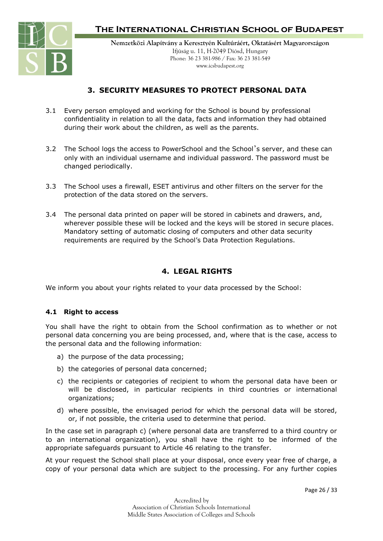

### **3. SECURITY MEASURES TO PROTECT PERSONAL DATA**

- 3.1 Every person employed and working for the School is bound by professional confidentiality in relation to all the data, facts and information they had obtained during their work about the children, as well as the parents.
- 3.2 The School logs the access to PowerSchool and the School's server, and these can only with an individual username and individual password. The password must be changed periodically.
- 3.3 The School uses a firewall, ESET antivirus and other filters on the server for the protection of the data stored on the servers.
- 3.4 The personal data printed on paper will be stored in cabinets and drawers, and, wherever possible these will be locked and the keys will be stored in secure places. Mandatory setting of automatic closing of computers and other data security requirements are required by the School's Data Protection Regulations.

### **4. LEGAL RIGHTS**

We inform you about your rights related to your data processed by the School:

#### **4.1 Right to access**

You shall have the right to obtain from the School confirmation as to whether or not personal data concerning you are being processed, and, where that is the case, access to the personal data and the following information:

- a) the purpose of the data processing;
- b) the categories of personal data concerned;
- c) the recipients or categories of recipient to whom the personal data have been or will be disclosed, in particular recipients in third countries or international organizations;
- d) where possible, the envisaged period for which the personal data will be stored, or, if not possible, the criteria used to determine that period.

In the case set in paragraph c) (where personal data are transferred to a third country or to an international organization), you shall have the right to be informed of the appropriate safeguards pursuant to Article 46 relating to the transfer.

At your request the School shall place at your disposal, once every year free of charge, a copy of your personal data which are subject to the processing. For any further copies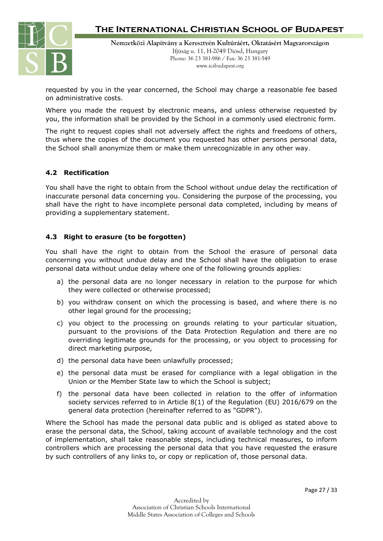

requested by you in the year concerned, the School may charge a reasonable fee based on administrative costs.

Where you made the request by electronic means, and unless otherwise requested by you, the information shall be provided by the School in a commonly used electronic form.

The right to request copies shall not adversely affect the rights and freedoms of others, thus where the copies of the document you requested has other persons personal data, the School shall anonymize them or make them unrecognizable in any other way.

### **4.2 Rectification**

You shall have the right to obtain from the School without undue delay the rectification of inaccurate personal data concerning you. Considering the purpose of the processing, you shall have the right to have incomplete personal data completed, including by means of providing a supplementary statement.

### **4.3 Right to erasure (to be forgotten)**

You shall have the right to obtain from the School the erasure of personal data concerning you without undue delay and the School shall have the obligation to erase personal data without undue delay where one of the following grounds applies:

- a) the personal data are no longer necessary in relation to the purpose for which they were collected or otherwise processed;
- b) you withdraw consent on which the processing is based, and where there is no other legal ground for the processing;
- c) you object to the processing on grounds relating to your particular situation, pursuant to the provisions of the Data Protection Regulation and there are no overriding legitimate grounds for the processing, or you object to processing for direct marketing purpose,
- d) the personal data have been unlawfully processed;
- e) the personal data must be erased for compliance with a legal obligation in the Union or the Member State law to which the School is subject;
- f) the personal data have been collected in relation to the offer of information society services referred to in Article 8(1) of the Regulation (EU) 2016/679 on the general data protection (hereinafter referred to as "GDPR").

Where the School has made the personal data public and is obliged as stated above to erase the personal data, the School, taking account of available technology and the cost of implementation, shall take reasonable steps, including technical measures, to inform controllers which are processing the personal data that you have requested the erasure by such controllers of any links to, or copy or replication of, those personal data.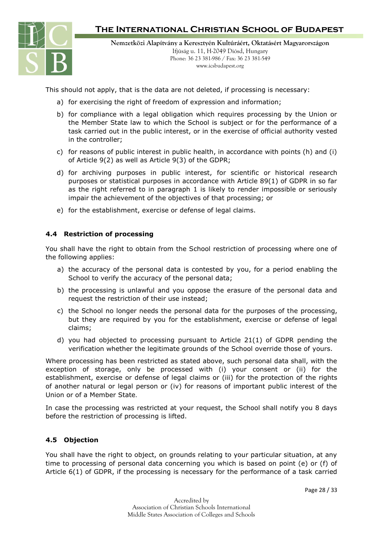

**Nemzetközi Alapítvány a Keresztyén Kultúráért, Oktatásért Magyarországon** Ifjúság u. 11, H-2049 Diósd, Hungary Phone: 36 23 381-986 / Fax: 36 23 381-549 www.icsbudapest.org

This should not apply, that is the data are not deleted, if processing is necessary:

- a) for exercising the right of freedom of expression and information;
- b) for compliance with a legal obligation which requires processing by the Union or the Member State law to which the School is subject or for the performance of a task carried out in the public interest, or in the exercise of official authority vested in the controller;
- c) for reasons of public interest in public health, in accordance with points (h) and (i) of Article 9(2) as well as Article 9(3) of the GDPR;
- d) for archiving purposes in public interest, for scientific or historical research purposes or statistical purposes in accordance with Article 89(1) of GDPR in so far as the right referred to in paragraph 1 is likely to render impossible or seriously impair the achievement of the objectives of that processing; or
- e) for the establishment, exercise or defense of legal claims.

#### **4.4 Restriction of processing**

You shall have the right to obtain from the School restriction of processing where one of the following applies:

- a) the accuracy of the personal data is contested by you, for a period enabling the School to verify the accuracy of the personal data;
- b) the processing is unlawful and you oppose the erasure of the personal data and request the restriction of their use instead;
- c) the School no longer needs the personal data for the purposes of the processing, but they are required by you for the establishment, exercise or defense of legal claims;
- d) you had objected to processing pursuant to Article 21(1) of GDPR pending the verification whether the legitimate grounds of the School override those of yours.

Where processing has been restricted as stated above, such personal data shall, with the exception of storage, only be processed with (i) your consent or (ii) for the establishment, exercise or defense of legal claims or (iii) for the protection of the rights of another natural or legal person or (iv) for reasons of important public interest of the Union or of a Member State.

In case the processing was restricted at your request, the School shall notify you 8 days before the restriction of processing is lifted.

#### **4.5 Objection**

You shall have the right to object, on grounds relating to your particular situation, at any time to processing of personal data concerning you which is based on point (e) or (f) of Article 6(1) of GDPR, if the processing is necessary for the performance of a task carried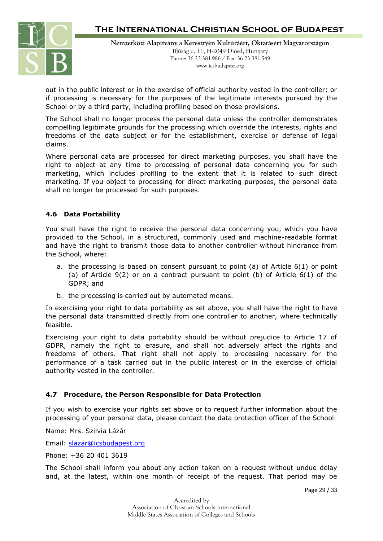

**Nemzetközi Alapítvány a Keresztyén Kultúráért, Oktatásért Magyarországon** Ifjúság u. 11, H-2049 Diósd, Hungary Phone: 36 23 381-986 / Fax: 36 23 381-549 www.icsbudapest.org

out in the public interest or in the exercise of official authority vested in the controller; or if processing is necessary for the purposes of the legitimate interests pursued by the School or by a third party, including profiling based on those provisions.

The School shall no longer process the personal data unless the controller demonstrates compelling legitimate grounds for the processing which override the interests, rights and freedoms of the data subject or for the establishment, exercise or defense of legal claims.

Where personal data are processed for direct marketing purposes, you shall have the right to object at any time to processing of personal data concerning you for such marketing, which includes profiling to the extent that it is related to such direct marketing. If you object to processing for direct marketing purposes, the personal data shall no longer be processed for such purposes.

#### **4.6 Data Portability**

You shall have the right to receive the personal data concerning you, which you have provided to the School, in a structured, commonly used and machine-readable format and have the right to transmit those data to another controller without hindrance from the School, where:

- a. the processing is based on consent pursuant to point (a) of Article 6(1) or point (a) of Article 9(2) or on a contract pursuant to point (b) of Article 6(1) of the GDPR; and
- b. the processing is carried out by automated means.

In exercising your right to data portability as set above, you shall have the right to have the personal data transmitted directly from one controller to another, where technically feasible.

Exercising your right to data portability should be without prejudice to Article 17 of GDPR, namely the right to erasure, and shall not adversely affect the rights and freedoms of others. That right shall not apply to processing necessary for the performance of a task carried out in the public interest or in the exercise of official authority vested in the controller.

#### **4.7 Procedure, the Person Responsible for Data Protection**

If you wish to exercise your rights set above or to request further information about the processing of your personal data, please contact the data protection officer of the School:

Name: Mrs. Szilvia Lázár

Email: [slazar@icsbudapest.org](mailto:slazar@icsbudapest.org)

Phone: +36 20 401 3619

The School shall inform you about any action taken on a request without undue delay and, at the latest, within one month of receipt of the request. That period may be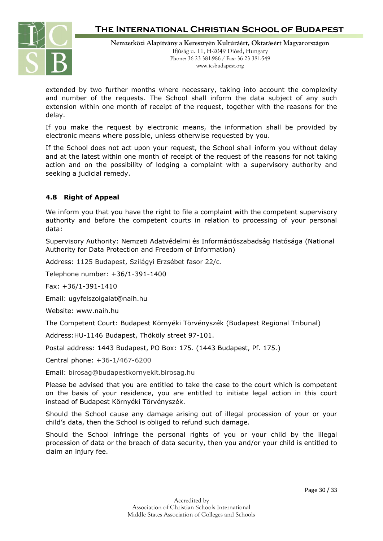

**Nemzetközi Alapítvány a Keresztyén Kultúráért, Oktatásért Magyarországon** Ifjúság u. 11, H-2049 Diósd, Hungary Phone: 36 23 381-986 / Fax: 36 23 381-549 www.icsbudapest.org

extended by two further months where necessary, taking into account the complexity and number of the requests. The School shall inform the data subject of any such extension within one month of receipt of the request, together with the reasons for the delay.

If you make the request by electronic means, the information shall be provided by electronic means where possible, unless otherwise requested by you.

If the School does not act upon your request, the School shall inform you without delay and at the latest within one month of receipt of the request of the reasons for not taking action and on the possibility of lodging a complaint with a supervisory authority and seeking a judicial remedy.

#### **4.8 Right of Appeal**

We inform you that you have the right to file a complaint with the competent supervisory authority and before the competent courts in relation to processing of your personal data:

Supervisory Authority: Nemzeti Adatvédelmi és Információszabadság Hatósága (National Authority for Data Protection and Freedom of Information)

Address: 1125 Budapest, Szilágyi Erzsébet fasor 22/c.

Telephone number: +36/1-391-1400

Fax: +36/1-391-1410

Email: ugyfelszolgalat@naih.hu

Website: www.naih.hu

The Competent Court: Budapest Környéki Törvényszék (Budapest Regional Tribunal)

Address:HU-1146 Budapest, Thököly street 97-101.

Postal address: 1443 Budapest, PO Box: 175. (1443 Budapest, Pf. 175.)

Central phone: +36-1/467-6200

Email: birosag@budapestkornyekit.birosag.hu

Please be advised that you are entitled to take the case to the court which is competent on the basis of your residence, you are entitled to initiate legal action in this court instead of Budapest Környéki Törvényszék.

Should the School cause any damage arising out of illegal procession of your or your child's data, then the School is obliged to refund such damage.

Should the School infringe the personal rights of you or your child by the illegal procession of data or the breach of data security, then you and/or your child is entitled to claim an injury fee.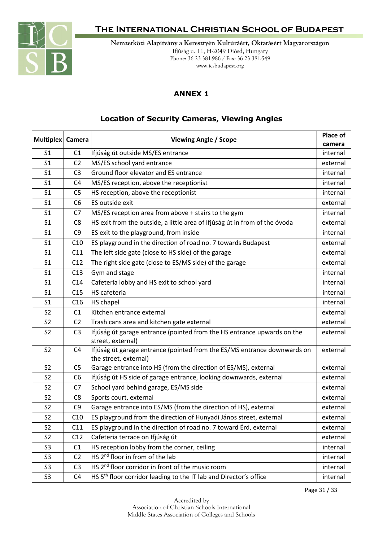

**Nemzetközi Alapítvány a Keresztyén Kultúráért, Oktatásért Magyarországon** Ifjúság u. 11, H-2049 Diósd, Hungary Phone: 36 23 381-986 / Fax: 36 23 381-549 www.icsbudapest.org

### **ANNEX 1**

### **Location of Security Cameras, Viewing Angles**

| Multiplex   Camera |                 | <b>Viewing Angle / Scope</b>                                                                      | Place of           |
|--------------------|-----------------|---------------------------------------------------------------------------------------------------|--------------------|
| S <sub>1</sub>     | C1              | Ifjúság út outside MS/ES entrance                                                                 | camera<br>internal |
| S <sub>1</sub>     | C <sub>2</sub>  | MS/ES school yard entrance                                                                        | external           |
| S <sub>1</sub>     | C <sub>3</sub>  | Ground floor elevator and ES entrance                                                             | internal           |
| S <sub>1</sub>     | C4              | MS/ES reception, above the receptionist                                                           | internal           |
| S <sub>1</sub>     | C5              | HS reception, above the receptionist                                                              | internal           |
| S <sub>1</sub>     | C <sub>6</sub>  | ES outside exit                                                                                   | external           |
| S <sub>1</sub>     | C7              | MS/ES reception area from above + stairs to the gym                                               | internal           |
| S <sub>1</sub>     | C8              | HS exit from the outside, a little area of Ifjúság út in from of the óvoda                        | external           |
| S <sub>1</sub>     | C9              | ES exit to the playground, from inside                                                            | internal           |
| S <sub>1</sub>     | C10             | ES playground in the direction of road no. 7 towards Budapest                                     | external           |
| S <sub>1</sub>     | C11             | The left side gate (close to HS side) of the garage                                               | external           |
| S <sub>1</sub>     | C12             | The right side gate (close to ES/MS side) of the garage                                           | external           |
| S <sub>1</sub>     | C13             | Gym and stage                                                                                     | internal           |
| S <sub>1</sub>     | C <sub>14</sub> | Cafeteria lobby and HS exit to school yard                                                        | internal           |
| S <sub>1</sub>     | C15             | <b>HS</b> cafeteria                                                                               | internal           |
| S <sub>1</sub>     | C16             | <b>HS</b> chapel                                                                                  | internal           |
| S <sub>2</sub>     | C <sub>1</sub>  | Kitchen entrance external                                                                         | external           |
| S <sub>2</sub>     | C <sub>2</sub>  | Trash cans area and kitchen gate external                                                         | external           |
| S <sub>2</sub>     | C <sub>3</sub>  | Ifjúság út garage entrance (pointed from the HS entrance upwards on the                           | external           |
|                    |                 | street, external)                                                                                 |                    |
| S <sub>2</sub>     | C <sub>4</sub>  | Ifjúság út garage entrance (pointed from the ES/MS entrance downwards on<br>the street, external) | external           |
| S <sub>2</sub>     | C5              | Garage entrance into HS (from the direction of ES/MS), external                                   | external           |
| S <sub>2</sub>     | C6              | Ifjúság út HS side of garage entrance, looking downwards, external                                | external           |
| S <sub>2</sub>     | C7              | School yard behind garage, ES/MS side                                                             | external           |
| S <sub>2</sub>     | C8              | Sports court, external                                                                            | external           |
| S <sub>2</sub>     | C <sub>9</sub>  | Garage entrance into ES/MS (from the direction of HS), external                                   | external           |
| S <sub>2</sub>     | C10             | ES playground from the direction of Hunyadi János street, external                                | external           |
| S <sub>2</sub>     | C11             | ES playground in the direction of road no. 7 toward Érd, external                                 | external           |
| S <sub>2</sub>     | C12             | Cafeteria terrace on Ifjúság út                                                                   | external           |
| S <sub>3</sub>     | C1              | HS reception lobby from the corner, ceiling                                                       | internal           |
| S <sub>3</sub>     | C <sub>2</sub>  | HS 2 <sup>nd</sup> floor in from of the lab                                                       | internal           |
| S <sub>3</sub>     | C <sub>3</sub>  | HS 2 <sup>nd</sup> floor corridor in front of the music room                                      | internal           |
| S <sub>3</sub>     | C <sub>4</sub>  | HS 5 <sup>th</sup> floor corridor leading to the IT lab and Director's office                     | internal           |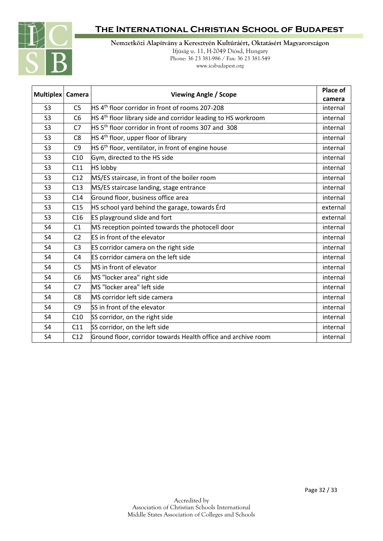

**Nemzetközi Alapítvány a Keresztyén Kultúráért, Oktatásért Magyarországon** Ifjúság u. 11, H-2049 Diósd, Hungary Phone: 36 23 381-986 / Fax: 36 23 381-549 www.icsbudapest.org

| Multiplex   Camera |                | <b>Viewing Angle / Scope</b>                                                  | Place of |
|--------------------|----------------|-------------------------------------------------------------------------------|----------|
|                    |                |                                                                               | camera   |
| S <sub>3</sub>     | C <sub>5</sub> | HS 4 <sup>th</sup> floor corridor in front of rooms 207-208                   | internal |
| S <sub>3</sub>     | C <sub>6</sub> | $H.S.$ 4 <sup>th</sup> floor library side and corridor leading to HS workroom | internal |
| S <sub>3</sub>     | C7             | HS 5 <sup>th</sup> floor corridor in front of rooms 307 and 308               | internal |
| S <sub>3</sub>     | C <sub>8</sub> | HS 4 <sup>th</sup> floor, upper floor of library                              | internal |
| S <sub>3</sub>     | C <sub>9</sub> | $HS 6th$ floor, ventilator, in front of engine house                          | internal |
| S <sub>3</sub>     | C10            | Gym, directed to the HS side                                                  | internal |
| S <sub>3</sub>     | C11            | <b>HS lobby</b>                                                               | internal |
| S <sub>3</sub>     | C12            | MS/ES staircase, in front of the boiler room                                  | internal |
| S <sub>3</sub>     | C13            | MS/ES staircase landing, stage entrance                                       | internal |
| S <sub>3</sub>     | C14            | Ground floor, business office area                                            | internal |
| S <sub>3</sub>     | C15            | HS school yard behind the garage, towards Erd                                 | external |
| S <sub>3</sub>     | C16            | ES playground slide and fort                                                  | external |
| S4                 | C1             | MS reception pointed towards the photocell door                               | internal |
| S <sub>4</sub>     | C <sub>2</sub> | ES in front of the elevator                                                   | internal |
| S <sub>4</sub>     | C <sub>3</sub> | ES corridor camera on the right side                                          | internal |
| S4                 | C <sub>4</sub> | ES corridor camera on the left side                                           | internal |
| S <sub>4</sub>     | C <sub>5</sub> | MS in front of elevator                                                       | internal |
| S4                 | C <sub>6</sub> | MS "locker area" right side                                                   | internal |
| S4                 | C <sub>7</sub> | MS "locker area" left side                                                    | internal |
| S4                 | C <sub>8</sub> | MS corridor left side camera                                                  | internal |
| S <sub>4</sub>     | C <sub>9</sub> | SS in front of the elevator                                                   | internal |
| S4                 | C10            | SS corridor, on the right side                                                | internal |
| S4                 | C11            | SS corridor, on the left side                                                 | internal |
| S <sub>4</sub>     | C12            | Ground floor, corridor towards Health office and archive room                 | internal |